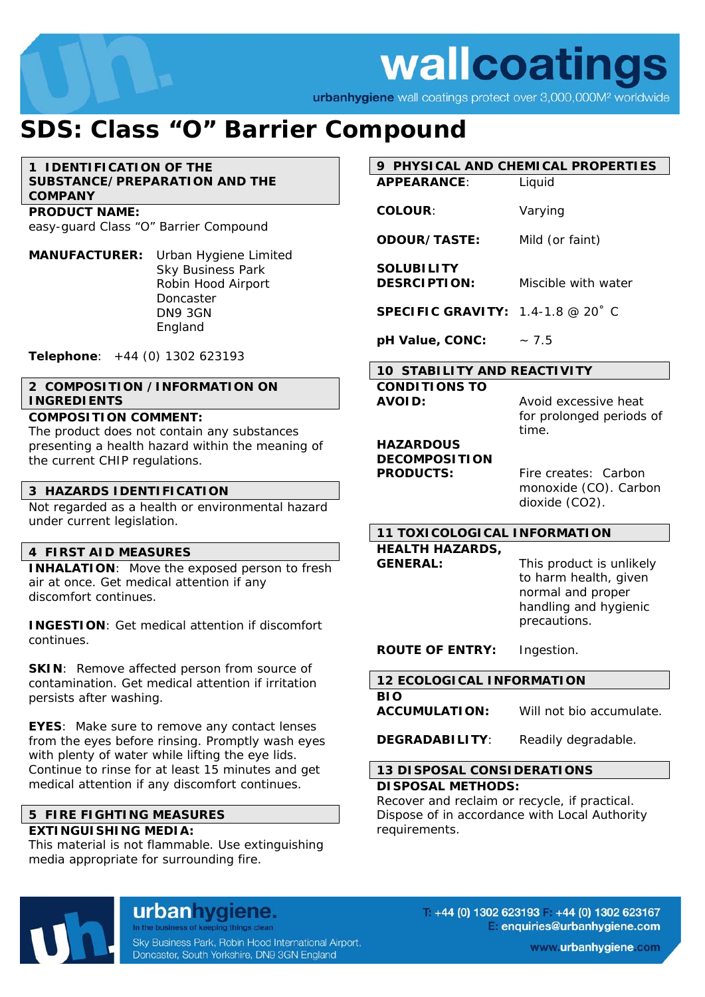

urbanhygiene wall coatings protect over 3,000,000M<sup>2</sup> worldwide

## **SDS: Class "O" Barrier Compound**

**1 IDENTIFICATION OF THE SUBSTANCE/PREPARATION AND THE COMPANY** 

**PRODUCT NAME:** 

easy-guard Class "O" Barrier Compound

**MANUFACTURER:** Urban Hygiene Limited Sky Business Park Robin Hood Airport Doncaster DN9 3GN England

**Telephone**: +44 (0) 1302 623193

#### **2 COMPOSITION /INFORMATION ON INGREDIENTS**

#### **COMPOSITION COMMENT:**

The product does not contain any substances presenting a health hazard within the meaning of the current CHIP regulations.

#### **3 HAZARDS IDENTIFICATION**

Not regarded as a health or environmental hazard under current legislation.

#### **4 FIRST AID MEASURES**

**INHALATION**: Move the exposed person to fresh air at once. Get medical attention if any discomfort continues.

**INGESTION**: Get medical attention if discomfort continues.

**SKIN:** Remove affected person from source of contamination. Get medical attention if irritation persists after washing.

**EYES**: Make sure to remove any contact lenses from the eyes before rinsing. Promptly wash eyes with plenty of water while lifting the eye lids. Continue to rinse for at least 15 minutes and get medical attention if any discomfort continues.

#### **5 FIRE FIGHTING MEASURES**

#### **EXTINGUISHING MEDIA:**

This material is not flammable. Use extinguishing media appropriate for surrounding fire.

### **9 PHYSICAL AND CHEMICAL PROPERTIES**

**APPEARANCE**: Liquid

**COLOUR**: Varying

**ODOUR/TASTE:** Mild (or faint)

**SOLUBILITY DESRCIPTION:** Miscible with water

**SPECIFIC GRAVITY:** 1.4-1.8 @ 20˚ C

**pH Value, CONC:**  $\sim 7.5$ 

#### **10 STABILITY AND REACTIVITY**

**CONDITIONS TO** 

**AVOID:** Avoid excessive heat for prolonged periods of time.

**HAZARDOUS DECOMPOSITION** 

**PRODUCTS:** Fire creates: Carbon monoxide (CO). Carbon dioxide (CO2).

#### **11 TOXICOLOGICAL INFORMATION**

**HEALTH HAZARDS,** 

**GENERAL:** This product is unlikely to harm health, given normal and proper handling and hygienic precautions.

**ROUTE OF ENTRY:** Ingestion.

| <b>12 ECOLOGICAL INFORMATION</b>   |                          |
|------------------------------------|--------------------------|
| <b>BIO</b><br><b>ACCUMULATION:</b> | Will not bio accumulate. |

**DEGRADABILITY**: Readily degradable.

**13 DISPOSAL CONSIDERATIONS DISPOSAL METHODS:** 

Recover and reclaim or recycle, if practical. Dispose of in accordance with Local Authority requirements.

urbanhygiene. In the business of keeping things clean

Sky Business Park, Robin Hood International Airport, Doncaster, South Yorkshire, DN9 3GN England

 $+44$  (0) 1302 623193 +44 (0) 1302 623167 enquiries@urbanhygiene.com